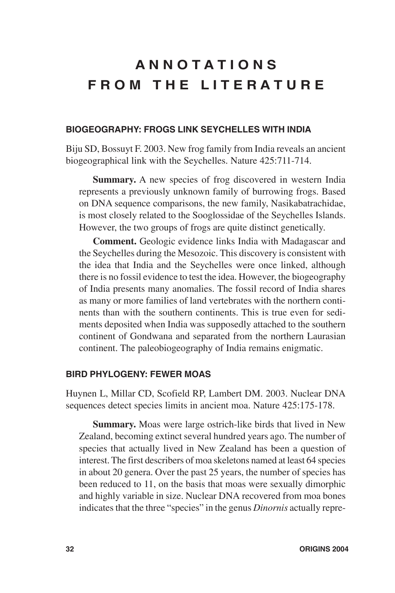# **A N N O T A T I O N S FROM THE LITERATURE**

## **BIOGEOGRAPHY: FROGS LINK SEYCHELLES WITH INDIA**

Biju SD, Bossuyt F. 2003. New frog family from India reveals an ancient biogeographical link with the Seychelles. Nature 425:711-714.

**Summary.** A new species of frog discovered in western India represents a previously unknown family of burrowing frogs. Based on DNA sequence comparisons, the new family, Nasikabatrachidae, is most closely related to the Sooglossidae of the Seychelles Islands. However, the two groups of frogs are quite distinct genetically.

**Comment.** Geologic evidence links India with Madagascar and the Seychelles during the Mesozoic. This discovery is consistent with the idea that India and the Seychelles were once linked, although there is no fossil evidence to test the idea. However, the biogeography of India presents many anomalies. The fossil record of India shares as many or more families of land vertebrates with the northern continents than with the southern continents. This is true even for sediments deposited when India was supposedly attached to the southern continent of Gondwana and separated from the northern Laurasian continent. The paleobiogeography of India remains enigmatic.

#### **BIRD PHYLOGENY: FEWER MOAS**

Huynen L, Millar CD, Scofield RP, Lambert DM. 2003. Nuclear DNA sequences detect species limits in ancient moa. Nature 425:175-178.

**Summary.** Moas were large ostrich-like birds that lived in New Zealand, becoming extinct several hundred years ago. The number of species that actually lived in New Zealand has been a question of interest. The first describers of moa skeletons named at least 64 species in about 20 genera. Over the past 25 years, the number of species has been reduced to 11, on the basis that moas were sexually dimorphic and highly variable in size. Nuclear DNA recovered from moa bones indicates that the three "species" in the genus *Dinornis* actually repre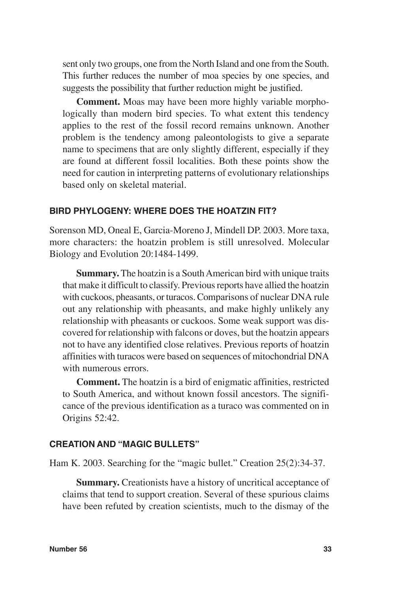sent only two groups, one from the North Island and one from the South. This further reduces the number of moa species by one species, and suggests the possibility that further reduction might be justified.

**Comment.** Moas may have been more highly variable morphologically than modern bird species. To what extent this tendency applies to the rest of the fossil record remains unknown. Another problem is the tendency among paleontologists to give a separate name to specimens that are only slightly different, especially if they are found at different fossil localities. Both these points show the need for caution in interpreting patterns of evolutionary relationships based only on skeletal material.

# **BIRD PHYLOGENY: WHERE DOES THE HOATZIN FIT?**

Sorenson MD, Oneal E, Garcia-Moreno J, Mindell DP. 2003. More taxa, more characters: the hoatzin problem is still unresolved. Molecular Biology and Evolution 20:1484-1499.

**Summary.** The hoatzin is a South American bird with unique traits that make it difficult to classify. Previous reports have allied the hoatzin with cuckoos, pheasants, or turacos. Comparisons of nuclear DNA rule out any relationship with pheasants, and make highly unlikely any relationship with pheasants or cuckoos. Some weak support was discovered for relationship with falcons or doves, but the hoatzin appears not to have any identified close relatives. Previous reports of hoatzin affinities with turacos were based on sequences of mitochondrial DNA with numerous errors.

**Comment.** The hoatzin is a bird of enigmatic affinities, restricted to South America, and without known fossil ancestors. The significance of the previous identification as a turaco was commented on in Origins 52:42.

#### **CREATION AND "MAGIC BULLETS"**

Ham K. 2003. Searching for the "magic bullet." Creation 25(2):34-37.

**Summary.** Creationists have a history of uncritical acceptance of claims that tend to support creation. Several of these spurious claims have been refuted by creation scientists, much to the dismay of the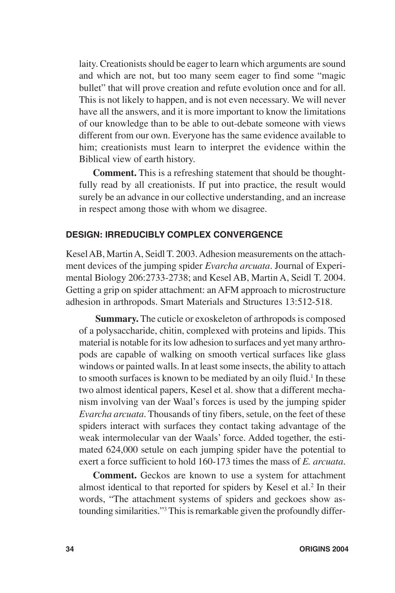laity. Creationists should be eager to learn which arguments are sound and which are not, but too many seem eager to find some "magic bullet" that will prove creation and refute evolution once and for all. This is not likely to happen, and is not even necessary. We will never have all the answers, and it is more important to know the limitations of our knowledge than to be able to out-debate someone with views different from our own. Everyone has the same evidence available to him; creationists must learn to interpret the evidence within the Biblical view of earth history.

**Comment.** This is a refreshing statement that should be thoughtfully read by all creationists. If put into practice, the result would surely be an advance in our collective understanding, and an increase in respect among those with whom we disagree.

# **DESIGN: IRREDUCIBLY COMPLEX CONVERGENCE**

Kesel AB, Martin A, Seidl T. 2003. Adhesion measurements on the attachment devices of the jumping spider *Evarcha arcuata*. Journal of Experimental Biology 206:2733-2738; and Kesel AB, Martin A, Seidl T. 2004. Getting a grip on spider attachment: an AFM approach to microstructure adhesion in arthropods. Smart Materials and Structures 13:512-518.

**Summary.** The cuticle or exoskeleton of arthropods is composed of a polysaccharide, chitin, complexed with proteins and lipids. This material is notable for its low adhesion to surfaces and yet many arthropods are capable of walking on smooth vertical surfaces like glass windows or painted walls. In at least some insects, the ability to attach to smooth surfaces is known to be mediated by an oily fluid.<sup>1</sup> In these two almost identical papers, Kesel et al. show that a different mechanism involving van der Waal's forces is used by the jumping spider *Evarcha arcuata*. Thousands of tiny fibers, setule, on the feet of these spiders interact with surfaces they contact taking advantage of the weak intermolecular van der Waals' force. Added together, the estimated 624,000 setule on each jumping spider have the potential to exert a force sufficient to hold 160-173 times the mass of *E. arcuata*.

**Comment.** Geckos are known to use a system for attachment almost identical to that reported for spiders by Kesel et al.<sup>2</sup> In their words, "The attachment systems of spiders and geckoes show astounding similarities."3 This is remarkable given the profoundly differ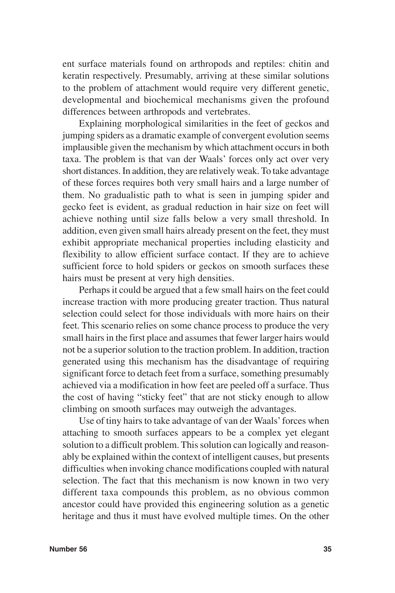ent surface materials found on arthropods and reptiles: chitin and keratin respectively. Presumably, arriving at these similar solutions to the problem of attachment would require very different genetic, developmental and biochemical mechanisms given the profound differences between arthropods and vertebrates.

Explaining morphological similarities in the feet of geckos and jumping spiders as a dramatic example of convergent evolution seems implausible given the mechanism by which attachment occurs in both taxa. The problem is that van der Waals' forces only act over very short distances. In addition, they are relatively weak. To take advantage of these forces requires both very small hairs and a large number of them. No gradualistic path to what is seen in jumping spider and gecko feet is evident, as gradual reduction in hair size on feet will achieve nothing until size falls below a very small threshold. In addition, even given small hairs already present on the feet, they must exhibit appropriate mechanical properties including elasticity and flexibility to allow efficient surface contact. If they are to achieve sufficient force to hold spiders or geckos on smooth surfaces these hairs must be present at very high densities.

Perhaps it could be argued that a few small hairs on the feet could increase traction with more producing greater traction. Thus natural selection could select for those individuals with more hairs on their feet. This scenario relies on some chance process to produce the very small hairs in the first place and assumes that fewer larger hairs would not be a superior solution to the traction problem. In addition, traction generated using this mechanism has the disadvantage of requiring significant force to detach feet from a surface, something presumably achieved via a modification in how feet are peeled off a surface. Thus the cost of having "sticky feet" that are not sticky enough to allow climbing on smooth surfaces may outweigh the advantages.

Use of tiny hairs to take advantage of van der Waals' forces when attaching to smooth surfaces appears to be a complex yet elegant solution to a difficult problem. This solution can logically and reasonably be explained within the context of intelligent causes, but presents difficulties when invoking chance modifications coupled with natural selection. The fact that this mechanism is now known in two very different taxa compounds this problem, as no obvious common ancestor could have provided this engineering solution as a genetic heritage and thus it must have evolved multiple times. On the other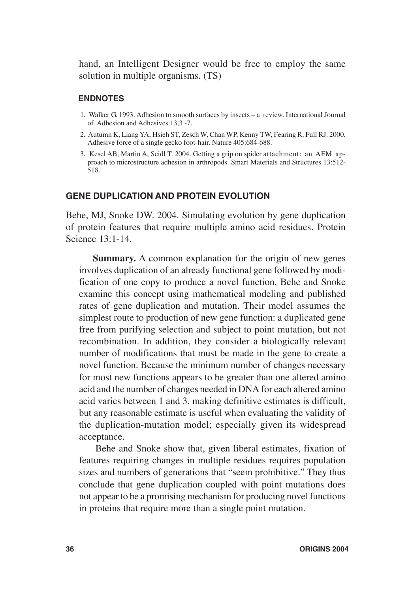hand, an Intelligent Designer would be free to employ the same solution in multiple organisms. (TS)

#### **ENDNOTES**

- 1. Walker G. 1993. Adhesion to smooth surfaces by insects a review. International Journal of Adhesion and Adhesives 13,3 -7.
- 2. Autumn K, Liang YA, Hsieh ST, Zesch W, Chan WP, Kenny TW, Fearing R, Full RJ. 2000. Adhesive force of a single gecko foot-hair. Nature 405:684-688.
- 3. Kesel AB, Martin A, Seidl T. 2004. Getting a grip on spider attachment: an AFM approach to microstructure adhesion in arthropods. Smart Materials and Structures 13:512- 518.

#### **GENE DUPLICATION AND PROTEIN EVOLUTION**

Behe, MJ, Snoke DW. 2004. Simulating evolution by gene duplication of protein features that require multiple amino acid residues. Protein Science 13:1-14.

**Summary.** A common explanation for the origin of new genes involves duplication of an already functional gene followed by modification of one copy to produce a novel function. Behe and Snoke examine this concept using mathematical modeling and published rates of gene duplication and mutation. Their model assumes the simplest route to production of new gene function: a duplicated gene free from purifying selection and subject to point mutation, but not recombination. In addition, they consider a biologically relevant number of modifications that must be made in the gene to create a novel function. Because the minimum number of changes necessary for most new functions appears to be greater than one altered amino acid and the number of changes needed in DNA for each altered amino acid varies between 1 and 3, making definitive estimates is difficult, but any reasonable estimate is useful when evaluating the validity of the duplication-mutation model; especially given its widespread acceptance.

Behe and Snoke show that, given liberal estimates, fixation of features requiring changes in multiple residues requires population sizes and numbers of generations that "seem prohibitive." They thus conclude that gene duplication coupled with point mutations does not appear to be a promising mechanism for producing novel functions in proteins that require more than a single point mutation.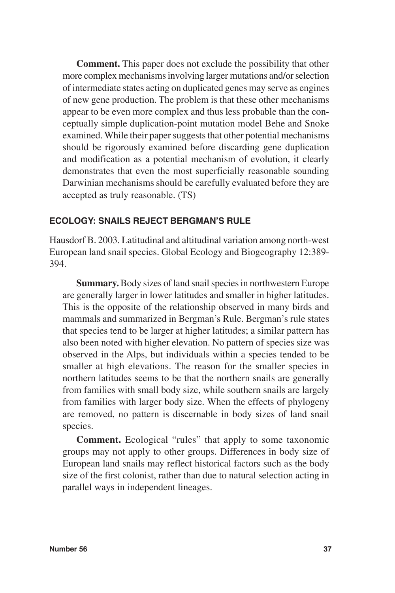**Comment.** This paper does not exclude the possibility that other more complex mechanisms involving larger mutations and/or selection of intermediate states acting on duplicated genes may serve as engines of new gene production. The problem is that these other mechanisms appear to be even more complex and thus less probable than the conceptually simple duplication-point mutation model Behe and Snoke examined. While their paper suggests that other potential mechanisms should be rigorously examined before discarding gene duplication and modification as a potential mechanism of evolution, it clearly demonstrates that even the most superficially reasonable sounding Darwinian mechanisms should be carefully evaluated before they are accepted as truly reasonable. (TS)

# **ECOLOGY: SNAILS REJECT BERGMAN'S RULE**

Hausdorf B. 2003. Latitudinal and altitudinal variation among north-west European land snail species. Global Ecology and Biogeography 12:389- 394.

**Summary.** Body sizes of land snail species in northwestern Europe are generally larger in lower latitudes and smaller in higher latitudes. This is the opposite of the relationship observed in many birds and mammals and summarized in Bergman's Rule. Bergman's rule states that species tend to be larger at higher latitudes; a similar pattern has also been noted with higher elevation. No pattern of species size was observed in the Alps, but individuals within a species tended to be smaller at high elevations. The reason for the smaller species in northern latitudes seems to be that the northern snails are generally from families with small body size, while southern snails are largely from families with larger body size. When the effects of phylogeny are removed, no pattern is discernable in body sizes of land snail species.

**Comment.** Ecological "rules" that apply to some taxonomic groups may not apply to other groups. Differences in body size of European land snails may reflect historical factors such as the body size of the first colonist, rather than due to natural selection acting in parallel ways in independent lineages.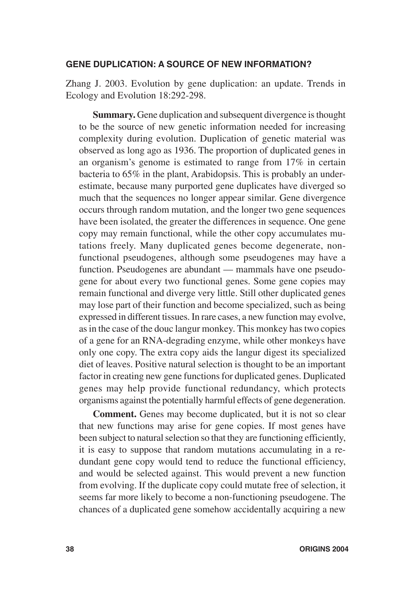#### **GENE DUPLICATION: A SOURCE OF NEW INFORMATION?**

Zhang J. 2003. Evolution by gene duplication: an update. Trends in Ecology and Evolution 18:292-298.

**Summary.** Gene duplication and subsequent divergence is thought to be the source of new genetic information needed for increasing complexity during evolution. Duplication of genetic material was observed as long ago as 1936. The proportion of duplicated genes in an organism's genome is estimated to range from 17% in certain bacteria to 65% in the plant, Arabidopsis. This is probably an underestimate, because many purported gene duplicates have diverged so much that the sequences no longer appear similar. Gene divergence occurs through random mutation, and the longer two gene sequences have been isolated, the greater the differences in sequence. One gene copy may remain functional, while the other copy accumulates mutations freely. Many duplicated genes become degenerate, nonfunctional pseudogenes, although some pseudogenes may have a function. Pseudogenes are abundant — mammals have one pseudogene for about every two functional genes. Some gene copies may remain functional and diverge very little. Still other duplicated genes may lose part of their function and become specialized, such as being expressed in different tissues. In rare cases, a new function may evolve, as in the case of the douc langur monkey. This monkey has two copies of a gene for an RNA-degrading enzyme, while other monkeys have only one copy. The extra copy aids the langur digest its specialized diet of leaves. Positive natural selection is thought to be an important factor in creating new gene functions for duplicated genes. Duplicated genes may help provide functional redundancy, which protects organisms against the potentially harmful effects of gene degeneration.

**Comment.** Genes may become duplicated, but it is not so clear that new functions may arise for gene copies. If most genes have been subject to natural selection so that they are functioning efficiently, it is easy to suppose that random mutations accumulating in a redundant gene copy would tend to reduce the functional efficiency, and would be selected against. This would prevent a new function from evolving. If the duplicate copy could mutate free of selection, it seems far more likely to become a non-functioning pseudogene. The chances of a duplicated gene somehow accidentally acquiring a new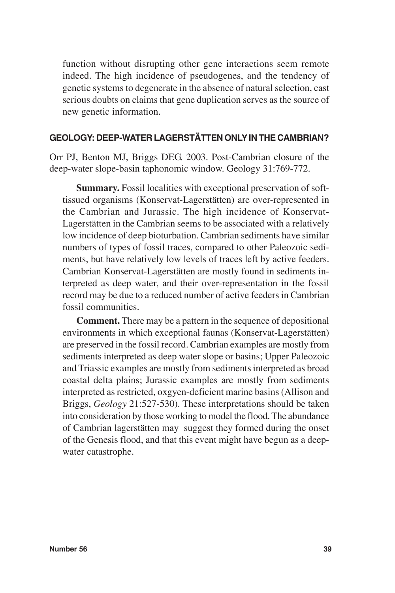function without disrupting other gene interactions seem remote indeed. The high incidence of pseudogenes, and the tendency of genetic systems to degenerate in the absence of natural selection, cast serious doubts on claims that gene duplication serves as the source of new genetic information.

# **GEOLOGY: DEEP-WATER LAGERSTÄTTEN ONLY IN THE CAMBRIAN?**

Orr PJ, Benton MJ, Briggs DEG. 2003. Post-Cambrian closure of the deep-water slope-basin taphonomic window. Geology 31:769-772.

**Summary.** Fossil localities with exceptional preservation of softtissued organisms (Konservat-Lagerstätten) are over-represented in the Cambrian and Jurassic. The high incidence of Konservat-Lagerstätten in the Cambrian seems to be associated with a relatively low incidence of deep bioturbation. Cambrian sediments have similar numbers of types of fossil traces, compared to other Paleozoic sediments, but have relatively low levels of traces left by active feeders. Cambrian Konservat-Lagerstätten are mostly found in sediments interpreted as deep water, and their over-representation in the fossil record may be due to a reduced number of active feeders in Cambrian fossil communities.

**Comment.** There may be a pattern in the sequence of depositional environments in which exceptional faunas (Konservat-Lagerstätten) are preserved in the fossil record. Cambrian examples are mostly from sediments interpreted as deep water slope or basins; Upper Paleozoic and Triassic examples are mostly from sediments interpreted as broad coastal delta plains; Jurassic examples are mostly from sediments interpreted as restricted, oxgyen-deficient marine basins (Allison and Briggs, *Geology* 21:527-530). These interpretations should be taken into consideration by those working to model the flood. The abundance of Cambrian lagerstätten may suggest they formed during the onset of the Genesis flood, and that this event might have begun as a deepwater catastrophe.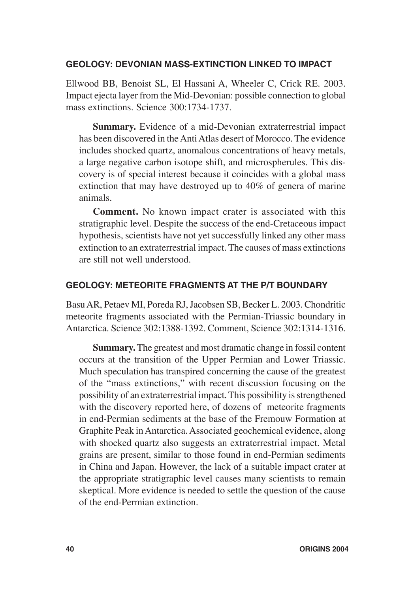# **GEOLOGY: DEVONIAN MASS-EXTINCTION LINKED TO IMPACT**

Ellwood BB, Benoist SL, El Hassani A, Wheeler C, Crick RE. 2003. Impact ejecta layer from the Mid-Devonian: possible connection to global mass extinctions. Science 300:1734-1737.

**Summary.** Evidence of a mid-Devonian extraterrestrial impact has been discovered in the Anti Atlas desert of Morocco. The evidence includes shocked quartz, anomalous concentrations of heavy metals, a large negative carbon isotope shift, and microspherules. This discovery is of special interest because it coincides with a global mass extinction that may have destroyed up to 40% of genera of marine animals.

**Comment.** No known impact crater is associated with this stratigraphic level. Despite the success of the end-Cretaceous impact hypothesis, scientists have not yet successfully linked any other mass extinction to an extraterrestrial impact. The causes of mass extinctions are still not well understood.

# **GEOLOGY: METEORITE FRAGMENTS AT THE P/T BOUNDARY**

Basu AR, Petaev MI, Poreda RJ, Jacobsen SB, Becker L. 2003. Chondritic meteorite fragments associated with the Permian-Triassic boundary in Antarctica. Science 302:1388-1392. Comment, Science 302:1314-1316.

**Summary.** The greatest and most dramatic change in fossil content occurs at the transition of the Upper Permian and Lower Triassic. Much speculation has transpired concerning the cause of the greatest of the "mass extinctions," with recent discussion focusing on the possibility of an extraterrestrial impact. This possibility is strengthened with the discovery reported here, of dozens of meteorite fragments in end-Permian sediments at the base of the Fremouw Formation at Graphite Peak in Antarctica. Associated geochemical evidence, along with shocked quartz also suggests an extraterrestrial impact. Metal grains are present, similar to those found in end-Permian sediments in China and Japan. However, the lack of a suitable impact crater at the appropriate stratigraphic level causes many scientists to remain skeptical. More evidence is needed to settle the question of the cause of the end-Permian extinction.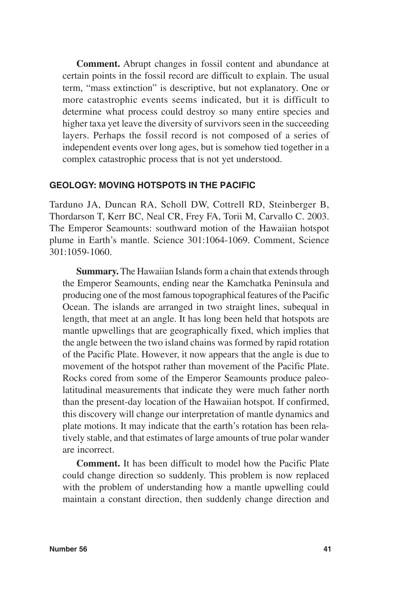**Comment.** Abrupt changes in fossil content and abundance at certain points in the fossil record are difficult to explain. The usual term, "mass extinction" is descriptive, but not explanatory. One or more catastrophic events seems indicated, but it is difficult to determine what process could destroy so many entire species and higher taxa yet leave the diversity of survivors seen in the succeeding layers. Perhaps the fossil record is not composed of a series of independent events over long ages, but is somehow tied together in a complex catastrophic process that is not yet understood.

# **GEOLOGY: MOVING HOTSPOTS IN THE PACIFIC**

Tarduno JA, Duncan RA, Scholl DW, Cottrell RD, Steinberger B, Thordarson T, Kerr BC, Neal CR, Frey FA, Torii M, Carvallo C. 2003. The Emperor Seamounts: southward motion of the Hawaiian hotspot plume in Earth's mantle. Science 301:1064-1069. Comment, Science 301:1059-1060.

**Summary.** The Hawaiian Islands form a chain that extends through the Emperor Seamounts, ending near the Kamchatka Peninsula and producing one of the most famous topographical features of the Pacific Ocean. The islands are arranged in two straight lines, subequal in length, that meet at an angle. It has long been held that hotspots are mantle upwellings that are geographically fixed, which implies that the angle between the two island chains was formed by rapid rotation of the Pacific Plate. However, it now appears that the angle is due to movement of the hotspot rather than movement of the Pacific Plate. Rocks cored from some of the Emperor Seamounts produce paleolatitudinal measurements that indicate they were much father north than the present-day location of the Hawaiian hotspot. If confirmed, this discovery will change our interpretation of mantle dynamics and plate motions. It may indicate that the earth's rotation has been relatively stable, and that estimates of large amounts of true polar wander are incorrect.

**Comment.** It has been difficult to model how the Pacific Plate could change direction so suddenly. This problem is now replaced with the problem of understanding how a mantle upwelling could maintain a constant direction, then suddenly change direction and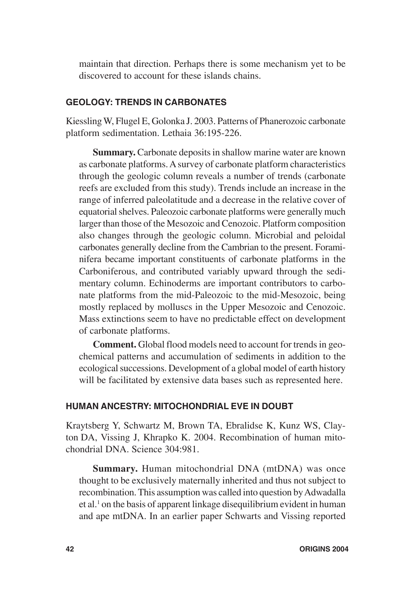maintain that direction. Perhaps there is some mechanism yet to be discovered to account for these islands chains.

# **GEOLOGY: TRENDS IN CARBONATES**

Kiessling W, Flugel E, Golonka J. 2003. Patterns of Phanerozoic carbonate platform sedimentation. Lethaia 36:195-226.

**Summary.** Carbonate deposits in shallow marine water are known as carbonate platforms. A survey of carbonate platform characteristics through the geologic column reveals a number of trends (carbonate reefs are excluded from this study). Trends include an increase in the range of inferred paleolatitude and a decrease in the relative cover of equatorial shelves. Paleozoic carbonate platforms were generally much larger than those of the Mesozoic and Cenozoic. Platform composition also changes through the geologic column. Microbial and peloidal carbonates generally decline from the Cambrian to the present. Foraminifera became important constituents of carbonate platforms in the Carboniferous, and contributed variably upward through the sedimentary column. Echinoderms are important contributors to carbonate platforms from the mid-Paleozoic to the mid-Mesozoic, being mostly replaced by molluscs in the Upper Mesozoic and Cenozoic. Mass extinctions seem to have no predictable effect on development of carbonate platforms.

**Comment.** Global flood models need to account for trends in geochemical patterns and accumulation of sediments in addition to the ecological successions. Development of a global model of earth history will be facilitated by extensive data bases such as represented here.

# **HUMAN ANCESTRY: MITOCHONDRIAL EVE IN DOUBT**

Kraytsberg Y, Schwartz M, Brown TA, Ebralidse K, Kunz WS, Clayton DA, Vissing J, Khrapko K. 2004. Recombination of human mitochondrial DNA. Science 304:981.

**Summary.** Human mitochondrial DNA (mtDNA) was once thought to be exclusively maternally inherited and thus not subject to recombination. This assumption was called into question by Adwadalla et al.<sup>1</sup> on the basis of apparent linkage disequilibrium evident in human and ape mtDNA. In an earlier paper Schwarts and Vissing reported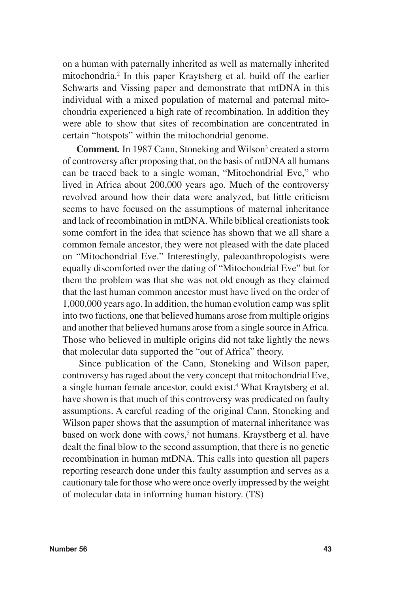on a human with paternally inherited as well as maternally inherited mitochondria.2 In this paper Kraytsberg et al. build off the earlier Schwarts and Vissing paper and demonstrate that mtDNA in this individual with a mixed population of maternal and paternal mitochondria experienced a high rate of recombination. In addition they were able to show that sites of recombination are concentrated in certain "hotspots" within the mitochondrial genome.

Comment. In 1987 Cann, Stoneking and Wilson<sup>3</sup> created a storm of controversy after proposing that, on the basis of mtDNA all humans can be traced back to a single woman, "Mitochondrial Eve," who lived in Africa about 200,000 years ago. Much of the controversy revolved around how their data were analyzed, but little criticism seems to have focused on the assumptions of maternal inheritance and lack of recombination in mtDNA. While biblical creationists took some comfort in the idea that science has shown that we all share a common female ancestor, they were not pleased with the date placed on "Mitochondrial Eve." Interestingly, paleoanthropologists were equally discomforted over the dating of "Mitochondrial Eve" but for them the problem was that she was not old enough as they claimed that the last human common ancestor must have lived on the order of 1,000,000 years ago. In addition, the human evolution camp was split into two factions, one that believed humans arose from multiple origins and another that believed humans arose from a single source in Africa. Those who believed in multiple origins did not take lightly the news that molecular data supported the "out of Africa" theory.

Since publication of the Cann, Stoneking and Wilson paper, controversy has raged about the very concept that mitochondrial Eve, a single human female ancestor, could exist.<sup>4</sup> What Kraytsberg et al. have shown is that much of this controversy was predicated on faulty assumptions. A careful reading of the original Cann, Stoneking and Wilson paper shows that the assumption of maternal inheritance was based on work done with cows,<sup>5</sup> not humans. Kraystberg et al. have dealt the final blow to the second assumption, that there is no genetic recombination in human mtDNA. This calls into question all papers reporting research done under this faulty assumption and serves as a cautionary tale for those who were once overly impressed by the weight of molecular data in informing human history. (TS)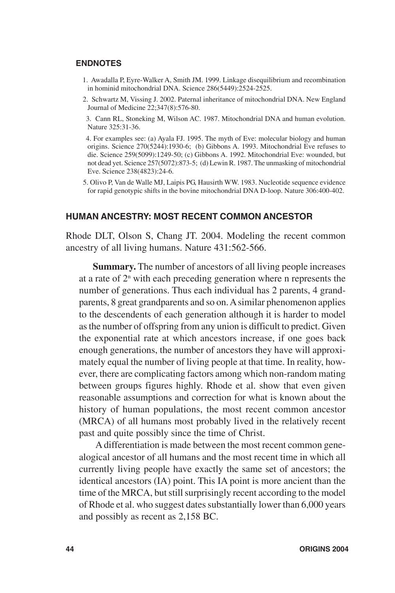#### **ENDNOTES**

- 1. Awadalla P, Eyre-Walker A, Smith JM. 1999. Linkage disequilibrium and recombination in hominid mitochondrial DNA. Science 286(5449):2524-2525.
- 2. Schwartz M, Vissing J. 2002. Paternal inheritance of mitochondrial DNA. New England Journal of Medicine 22;347(8):576-80.
- 3. Cann RL, Stoneking M, Wilson AC. 1987. Mitochondrial DNA and human evolution. Nature 325:31-36.
- 4. For examples see: (a) Ayala FJ. 1995. The myth of Eve: molecular biology and human origins. Science 270(5244):1930-6; (b) Gibbons A. 1993. Mitochondrial Eve refuses to die. Science 259(5099):1249-50; (c) Gibbons A. 1992. Mitochondrial Eve: wounded, but not dead yet. Science 257(5072):873-5; (d) Lewin R. 1987. The unmasking of mitochondrial Eve. Science 238(4823):24-6.
- 5. Olivo P, Van de Walle MJ, Laipis PG, Hausirth WW. 1983. Nucleotide sequence evidence for rapid genotypic shifts in the bovine mitochondrial DNA D-loop. Nature 306:400-402.

#### **HUMAN ANCESTRY: MOST RECENT COMMON ANCESTOR**

Rhode DLT, Olson S, Chang JT. 2004. Modeling the recent common ancestry of all living humans. Nature 431:562-566.

**Summary.** The number of ancestors of all living people increases at a rate of  $2<sup>n</sup>$  with each preceding generation where n represents the number of generations. Thus each individual has 2 parents, 4 grandparents, 8 great grandparents and so on. A similar phenomenon applies to the descendents of each generation although it is harder to model as the number of offspring from any union is difficult to predict. Given the exponential rate at which ancestors increase, if one goes back enough generations, the number of ancestors they have will approximately equal the number of living people at that time. In reality, however, there are complicating factors among which non-random mating between groups figures highly. Rhode et al. show that even given reasonable assumptions and correction for what is known about the history of human populations, the most recent common ancestor (MRCA) of all humans most probably lived in the relatively recent past and quite possibly since the time of Christ.

A differentiation is made between the most recent common genealogical ancestor of all humans and the most recent time in which all currently living people have exactly the same set of ancestors; the identical ancestors (IA) point. This IA point is more ancient than the time of the MRCA, but still surprisingly recent according to the model of Rhode et al. who suggest dates substantially lower than 6,000 years and possibly as recent as 2,158 BC.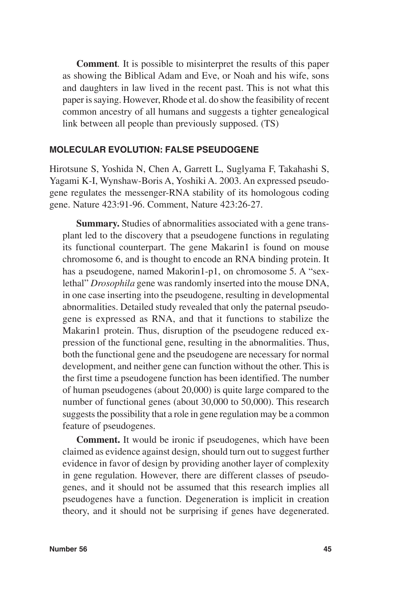**Comment***.* It is possible to misinterpret the results of this paper as showing the Biblical Adam and Eve, or Noah and his wife, sons and daughters in law lived in the recent past. This is not what this paper is saying. However, Rhode et al. do show the feasibility of recent common ancestry of all humans and suggests a tighter genealogical link between all people than previously supposed. (TS)

#### **MOLECULAR EVOLUTION: FALSE PSEUDOGENE**

Hirotsune S, Yoshida N, Chen A, Garrett L, Suglyama F, Takahashi S, Yagami K-I, Wynshaw-Boris A, Yoshiki A. 2003. An expressed pseudogene regulates the messenger-RNA stability of its homologous coding gene. Nature 423:91-96. Comment, Nature 423:26-27.

**Summary.** Studies of abnormalities associated with a gene transplant led to the discovery that a pseudogene functions in regulating its functional counterpart. The gene Makarin1 is found on mouse chromosome 6, and is thought to encode an RNA binding protein. It has a pseudogene, named Makorin1-p1, on chromosome 5. A "sexlethal" *Drosophila* gene was randomly inserted into the mouse DNA, in one case inserting into the pseudogene, resulting in developmental abnormalities. Detailed study revealed that only the paternal pseudogene is expressed as RNA, and that it functions to stabilize the Makarin1 protein. Thus, disruption of the pseudogene reduced expression of the functional gene, resulting in the abnormalities. Thus, both the functional gene and the pseudogene are necessary for normal development, and neither gene can function without the other. This is the first time a pseudogene function has been identified. The number of human pseudogenes (about 20,000) is quite large compared to the number of functional genes (about 30,000 to 50,000). This research suggests the possibility that a role in gene regulation may be a common feature of pseudogenes.

**Comment.** It would be ironic if pseudogenes, which have been claimed as evidence against design, should turn out to suggest further evidence in favor of design by providing another layer of complexity in gene regulation. However, there are different classes of pseudogenes, and it should not be assumed that this research implies all pseudogenes have a function. Degeneration is implicit in creation theory, and it should not be surprising if genes have degenerated.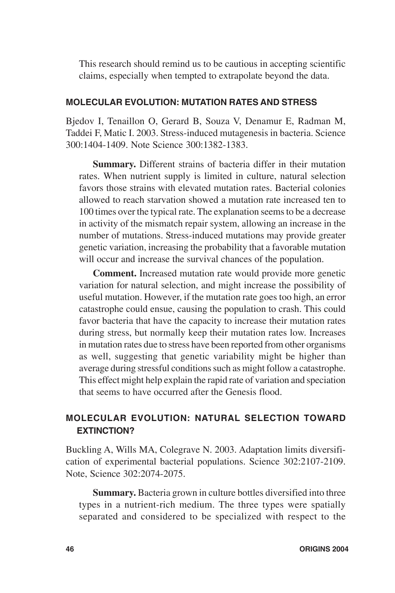This research should remind us to be cautious in accepting scientific claims, especially when tempted to extrapolate beyond the data.

# **MOLECULAR EVOLUTION: MUTATION RATES AND STRESS**

Bjedov I, Tenaillon O, Gerard B, Souza V, Denamur E, Radman M, Taddei F, Matic I. 2003. Stress-induced mutagenesis in bacteria. Science 300:1404-1409. Note Science 300:1382-1383.

**Summary.** Different strains of bacteria differ in their mutation rates. When nutrient supply is limited in culture, natural selection favors those strains with elevated mutation rates. Bacterial colonies allowed to reach starvation showed a mutation rate increased ten to 100 times over the typical rate. The explanation seems to be a decrease in activity of the mismatch repair system, allowing an increase in the number of mutations. Stress-induced mutations may provide greater genetic variation, increasing the probability that a favorable mutation will occur and increase the survival chances of the population.

**Comment.** Increased mutation rate would provide more genetic variation for natural selection, and might increase the possibility of useful mutation. However, if the mutation rate goes too high, an error catastrophe could ensue, causing the population to crash. This could favor bacteria that have the capacity to increase their mutation rates during stress, but normally keep their mutation rates low. Increases in mutation rates due to stress have been reported from other organisms as well, suggesting that genetic variability might be higher than average during stressful conditions such as might follow a catastrophe. This effect might help explain the rapid rate of variation and speciation that seems to have occurred after the Genesis flood.

# **MOLECULAR EVOLUTION: NATURAL SELECTION TOWARD EXTINCTION?**

Buckling A, Wills MA, Colegrave N. 2003. Adaptation limits diversification of experimental bacterial populations. Science 302:2107-2109. Note, Science 302:2074-2075.

**Summary.** Bacteria grown in culture bottles diversified into three types in a nutrient-rich medium. The three types were spatially separated and considered to be specialized with respect to the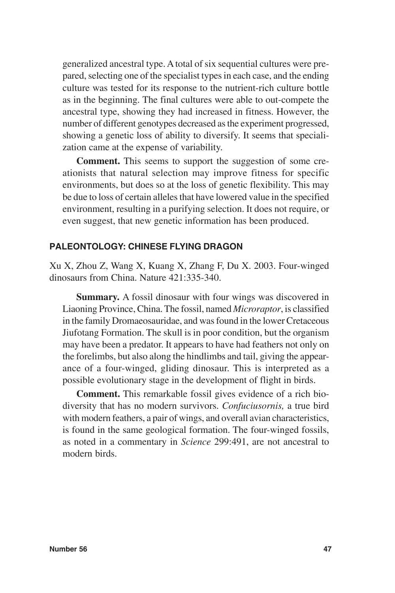generalized ancestral type. A total of six sequential cultures were prepared, selecting one of the specialist types in each case, and the ending culture was tested for its response to the nutrient-rich culture bottle as in the beginning. The final cultures were able to out-compete the ancestral type, showing they had increased in fitness. However, the number of different genotypes decreased as the experiment progressed, showing a genetic loss of ability to diversify. It seems that specialization came at the expense of variability.

**Comment.** This seems to support the suggestion of some creationists that natural selection may improve fitness for specific environments, but does so at the loss of genetic flexibility. This may be due to loss of certain alleles that have lowered value in the specified environment, resulting in a purifying selection. It does not require, or even suggest, that new genetic information has been produced.

# **PALEONTOLOGY: CHINESE FLYING DRAGON**

Xu X, Zhou Z, Wang X, Kuang X, Zhang F, Du X. 2003. Four-winged dinosaurs from China. Nature 421:335-340.

**Summary.** A fossil dinosaur with four wings was discovered in Liaoning Province, China. The fossil, named *Microraptor*, is classified in the family Dromaeosauridae, and was found in the lower Cretaceous Jiufotang Formation. The skull is in poor condition, but the organism may have been a predator. It appears to have had feathers not only on the forelimbs, but also along the hindlimbs and tail, giving the appearance of a four-winged, gliding dinosaur. This is interpreted as a possible evolutionary stage in the development of flight in birds.

**Comment.** This remarkable fossil gives evidence of a rich biodiversity that has no modern survivors. *Confuciusornis,* a true bird with modern feathers, a pair of wings, and overall avian characteristics, is found in the same geological formation. The four-winged fossils, as noted in a commentary in *Science* 299:491, are not ancestral to modern birds.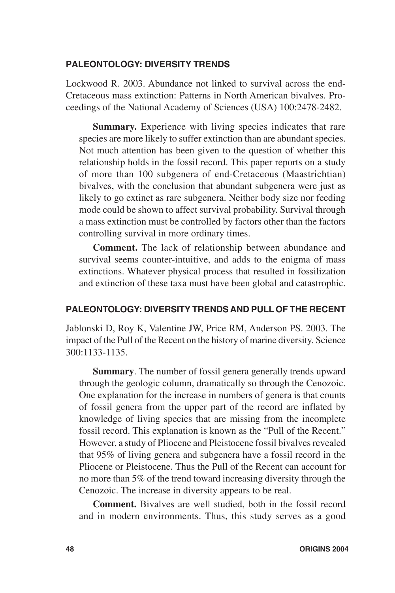## **PALEONTOLOGY: DIVERSITY TRENDS**

Lockwood R. 2003. Abundance not linked to survival across the end-Cretaceous mass extinction: Patterns in North American bivalves. Proceedings of the National Academy of Sciences (USA) 100:2478-2482.

**Summary.** Experience with living species indicates that rare species are more likely to suffer extinction than are abundant species. Not much attention has been given to the question of whether this relationship holds in the fossil record. This paper reports on a study of more than 100 subgenera of end-Cretaceous (Maastrichtian) bivalves, with the conclusion that abundant subgenera were just as likely to go extinct as rare subgenera. Neither body size nor feeding mode could be shown to affect survival probability. Survival through a mass extinction must be controlled by factors other than the factors controlling survival in more ordinary times.

**Comment.** The lack of relationship between abundance and survival seems counter-intuitive, and adds to the enigma of mass extinctions. Whatever physical process that resulted in fossilization and extinction of these taxa must have been global and catastrophic.

# **PALEONTOLOGY: DIVERSITY TRENDS AND PULL OF THE RECENT**

Jablonski D, Roy K, Valentine JW, Price RM, Anderson PS. 2003. The impact of the Pull of the Recent on the history of marine diversity. Science 300:1133-1135.

**Summary**. The number of fossil genera generally trends upward through the geologic column, dramatically so through the Cenozoic. One explanation for the increase in numbers of genera is that counts of fossil genera from the upper part of the record are inflated by knowledge of living species that are missing from the incomplete fossil record. This explanation is known as the "Pull of the Recent." However, a study of Pliocene and Pleistocene fossil bivalves revealed that 95% of living genera and subgenera have a fossil record in the Pliocene or Pleistocene. Thus the Pull of the Recent can account for no more than 5% of the trend toward increasing diversity through the Cenozoic. The increase in diversity appears to be real.

**Comment.** Bivalves are well studied, both in the fossil record and in modern environments. Thus, this study serves as a good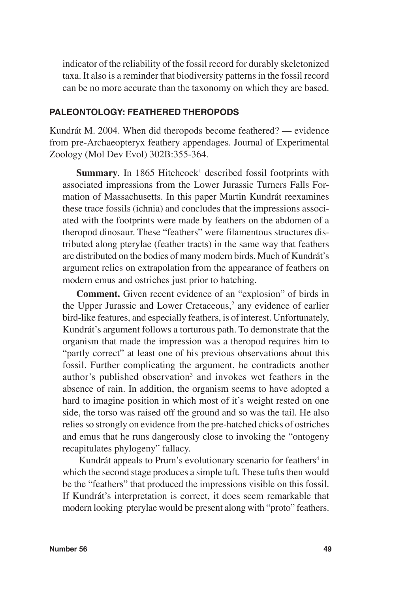indicator of the reliability of the fossil record for durably skeletonized taxa. It also is a reminder that biodiversity patterns in the fossil record can be no more accurate than the taxonomy on which they are based.

# **PALEONTOLOGY: FEATHERED THEROPODS**

Kundrát M. 2004. When did theropods become feathered? — evidence from pre-Archaeopteryx feathery appendages. Journal of Experimental Zoology (Mol Dev Evol) 302B:355-364.

Summary. In 1865 Hitchcock<sup>1</sup> described fossil footprints with associated impressions from the Lower Jurassic Turners Falls Formation of Massachusetts. In this paper Martin Kundrát reexamines these trace fossils (ichnia) and concludes that the impressions associated with the footprints were made by feathers on the abdomen of a theropod dinosaur. These "feathers" were filamentous structures distributed along pterylae (feather tracts) in the same way that feathers are distributed on the bodies of many modern birds. Much of Kundrát's argument relies on extrapolation from the appearance of feathers on modern emus and ostriches just prior to hatching.

**Comment.** Given recent evidence of an "explosion" of birds in the Upper Jurassic and Lower Cretaceous,<sup>2</sup> any evidence of earlier bird-like features, and especially feathers, is of interest. Unfortunately, Kundrát's argument follows a torturous path. To demonstrate that the organism that made the impression was a theropod requires him to "partly correct" at least one of his previous observations about this fossil. Further complicating the argument, he contradicts another author's published observation<sup>3</sup> and invokes wet feathers in the absence of rain. In addition, the organism seems to have adopted a hard to imagine position in which most of it's weight rested on one side, the torso was raised off the ground and so was the tail. He also relies so strongly on evidence from the pre-hatched chicks of ostriches and emus that he runs dangerously close to invoking the "ontogeny recapitulates phylogeny" fallacy.

Kundrát appeals to Prum's evolutionary scenario for feathers<sup>4</sup> in which the second stage produces a simple tuft. These tufts then would be the "feathers" that produced the impressions visible on this fossil. If Kundrát's interpretation is correct, it does seem remarkable that modern looking pterylae would be present along with "proto" feathers.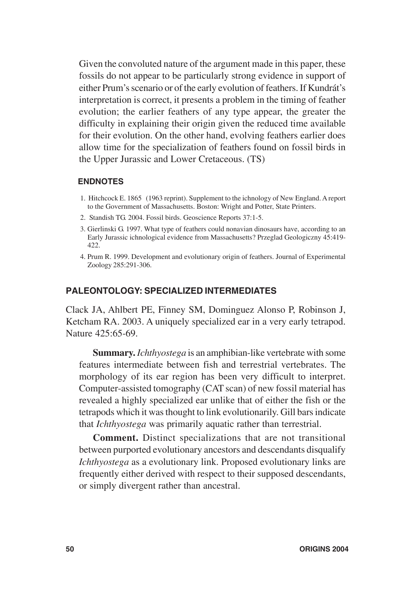Given the convoluted nature of the argument made in this paper, these fossils do not appear to be particularly strong evidence in support of either Prum's scenario or of the early evolution of feathers. If Kundrát's interpretation is correct, it presents a problem in the timing of feather evolution; the earlier feathers of any type appear, the greater the difficulty in explaining their origin given the reduced time available for their evolution. On the other hand, evolving feathers earlier does allow time for the specialization of feathers found on fossil birds in the Upper Jurassic and Lower Cretaceous. (TS)

#### **ENDNOTES**

- 1. Hitchcock E. 1865 (1963 reprint). Supplement to the ichnology of New England. A report to the Government of Massachusetts. Boston: Wright and Potter, State Printers.
- 2. Standish TG. 2004. Fossil birds. Geoscience Reports 37:1-5.
- 3. Gierlinski G. 1997. What type of feathers could nonavian dinosaurs have, according to an Early Jurassic ichnological evidence from Massachusetts? Przeglad Geologiczny 45:419- 422.
- 4. Prum R. 1999. Development and evolutionary origin of feathers. Journal of Experimental Zoology 285:291-306.

#### **PALEONTOLOGY: SPECIALIZED INTERMEDIATES**

Clack JA, Ahlbert PE, Finney SM, Dominguez Alonso P, Robinson J, Ketcham RA. 2003. A uniquely specialized ear in a very early tetrapod. Nature 425:65-69.

**Summary.** *Ichthyostega* is an amphibian-like vertebrate with some features intermediate between fish and terrestrial vertebrates. The morphology of its ear region has been very difficult to interpret. Computer-assisted tomography (CAT scan) of new fossil material has revealed a highly specialized ear unlike that of either the fish or the tetrapods which it was thought to link evolutionarily. Gill bars indicate that *Ichthyostega* was primarily aquatic rather than terrestrial.

**Comment.** Distinct specializations that are not transitional between purported evolutionary ancestors and descendants disqualify *Ichthyostega* as a evolutionary link. Proposed evolutionary links are frequently either derived with respect to their supposed descendants, or simply divergent rather than ancestral.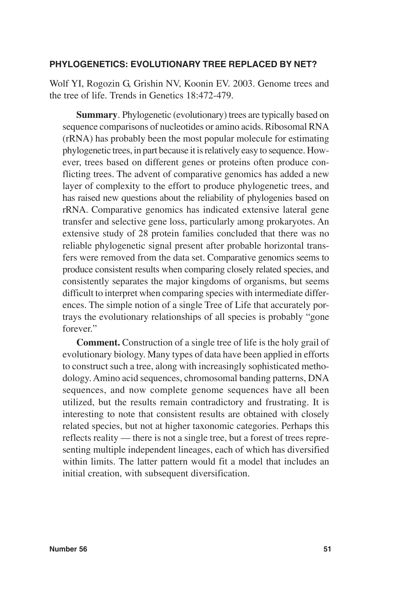# **PHYLOGENETICS: EVOLUTIONARY TREE REPLACED BY NET?**

Wolf YI, Rogozin G, Grishin NV, Koonin EV. 2003. Genome trees and the tree of life. Trends in Genetics 18:472-479.

**Summary.** Phylogenetic (evolutionary) trees are typically based on sequence comparisons of nucleotides or amino acids. Ribosomal RNA (rRNA) has probably been the most popular molecule for estimating phylogenetic trees, in part because it is relatively easy to sequence. However, trees based on different genes or proteins often produce conflicting trees. The advent of comparative genomics has added a new layer of complexity to the effort to produce phylogenetic trees, and has raised new questions about the reliability of phylogenies based on rRNA. Comparative genomics has indicated extensive lateral gene transfer and selective gene loss, particularly among prokaryotes. An extensive study of 28 protein families concluded that there was no reliable phylogenetic signal present after probable horizontal transfers were removed from the data set. Comparative genomics seems to produce consistent results when comparing closely related species, and consistently separates the major kingdoms of organisms, but seems difficult to interpret when comparing species with intermediate differences. The simple notion of a single Tree of Life that accurately portrays the evolutionary relationships of all species is probably "gone forever."

**Comment.** Construction of a single tree of life is the holy grail of evolutionary biology. Many types of data have been applied in efforts to construct such a tree, along with increasingly sophisticated methodology. Amino acid sequences, chromosomal banding patterns, DNA sequences, and now complete genome sequences have all been utilized, but the results remain contradictory and frustrating. It is interesting to note that consistent results are obtained with closely related species, but not at higher taxonomic categories. Perhaps this reflects reality — there is not a single tree, but a forest of trees representing multiple independent lineages, each of which has diversified within limits. The latter pattern would fit a model that includes an initial creation, with subsequent diversification.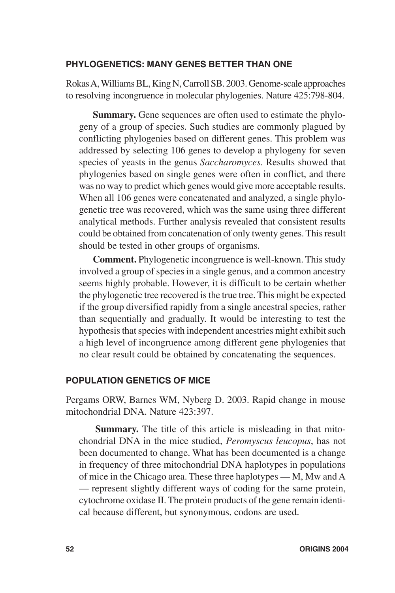## **PHYLOGENETICS: MANY GENES BETTER THAN ONE**

Rokas A, Williams BL, King N, Carroll SB. 2003. Genome-scale approaches to resolving incongruence in molecular phylogenies. Nature 425:798-804.

**Summary.** Gene sequences are often used to estimate the phylogeny of a group of species. Such studies are commonly plagued by conflicting phylogenies based on different genes. This problem was addressed by selecting 106 genes to develop a phylogeny for seven species of yeasts in the genus *Saccharomyces*. Results showed that phylogenies based on single genes were often in conflict, and there was no way to predict which genes would give more acceptable results. When all 106 genes were concatenated and analyzed, a single phylogenetic tree was recovered, which was the same using three different analytical methods. Further analysis revealed that consistent results could be obtained from concatenation of only twenty genes. This result should be tested in other groups of organisms.

**Comment.** Phylogenetic incongruence is well-known. This study involved a group of species in a single genus, and a common ancestry seems highly probable. However, it is difficult to be certain whether the phylogenetic tree recovered is the true tree. This might be expected if the group diversified rapidly from a single ancestral species, rather than sequentially and gradually. It would be interesting to test the hypothesis that species with independent ancestries might exhibit such a high level of incongruence among different gene phylogenies that no clear result could be obtained by concatenating the sequences.

# **POPULATION GENETICS OF MICE**

Pergams ORW, Barnes WM, Nyberg D. 2003. Rapid change in mouse mitochondrial DNA. Nature 423:397.

**Summary.** The title of this article is misleading in that mitochondrial DNA in the mice studied, *Peromyscus leucopus*, has not been documented to change. What has been documented is a change in frequency of three mitochondrial DNA haplotypes in populations of mice in the Chicago area. These three haplotypes — M, Mw and A — represent slightly different ways of coding for the same protein, cytochrome oxidase II. The protein products of the gene remain identical because different, but synonymous, codons are used.